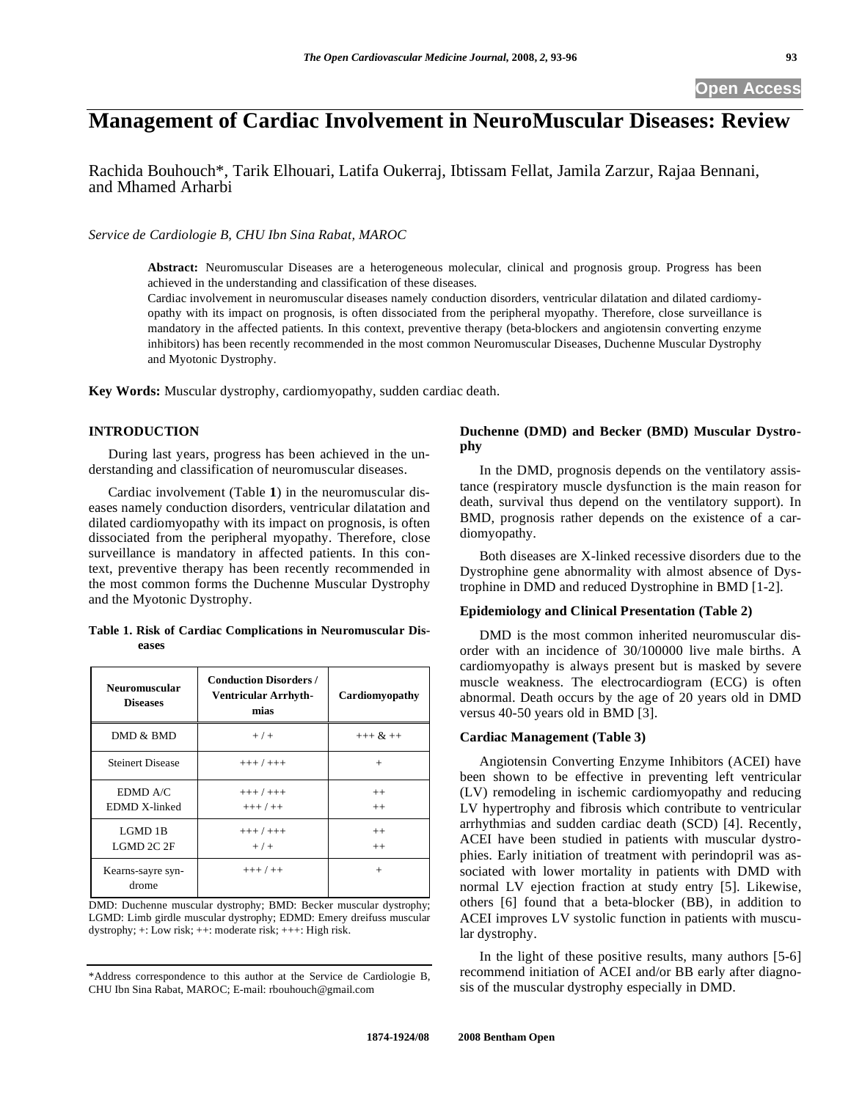# **Management of Cardiac Involvement in NeuroMuscular Diseases: Review**

Rachida Bouhouch\*, Tarik Elhouari, Latifa Oukerraj, Ibtissam Fellat, Jamila Zarzur, Rajaa Bennani, and Mhamed Arharbi

*Service de Cardiologie B, CHU Ibn Sina Rabat, MAROC* 

**Abstract:** Neuromuscular Diseases are a heterogeneous molecular, clinical and prognosis group. Progress has been achieved in the understanding and classification of these diseases.

Cardiac involvement in neuromuscular diseases namely conduction disorders, ventricular dilatation and dilated cardiomyopathy with its impact on prognosis, is often dissociated from the peripheral myopathy. Therefore, close surveillance is mandatory in the affected patients. In this context, preventive therapy (beta-blockers and angiotensin converting enzyme inhibitors) has been recently recommended in the most common Neuromuscular Diseases, Duchenne Muscular Dystrophy and Myotonic Dystrophy.

**Key Words:** Muscular dystrophy, cardiomyopathy, sudden cardiac death.

# **INTRODUCTION**

During last years, progress has been achieved in the understanding and classification of neuromuscular diseases.

Cardiac involvement (Table **1**) in the neuromuscular diseases namely conduction disorders, ventricular dilatation and dilated cardiomyopathy with its impact on prognosis, is often dissociated from the peripheral myopathy. Therefore, close surveillance is mandatory in affected patients. In this context, preventive therapy has been recently recommended in the most common forms the Duchenne Muscular Dystrophy and the Myotonic Dystrophy.

#### **Table 1. Risk of Cardiac Complications in Neuromuscular Diseases**

| <b>Neuromuscular</b><br><b>Diseases</b> | <b>Conduction Disorders /</b><br><b>Ventricular Arrhyth-</b><br>mias | Cardiomyopathy |
|-----------------------------------------|----------------------------------------------------------------------|----------------|
| DMD & BMD                               | $+$ / +                                                              | $+++ & ++$     |
| <b>Steinert Disease</b>                 | $+++ / +++$                                                          | $^{+}$         |
| EDMD A/C<br>EDMD X-linked               | $+++ / +++$<br>$+++ / ++$                                            | $++$<br>$++$   |
| LGMD 1B<br>LGMD 2C 2F                   | $+++ / +++$<br>$+$ / +                                               | $++$<br>$++$   |
| Kearns-sayre syn-<br>drome              | $+++/-+$                                                             | $^{+}$         |

DMD: Duchenne muscular dystrophy; BMD: Becker muscular dystrophy; LGMD: Limb girdle muscular dystrophy; EDMD: Emery dreifuss muscular dystrophy; +: Low risk; ++: moderate risk; +++: High risk.

\*Address correspondence to this author at the Service de Cardiologie B, CHU Ibn Sina Rabat, MAROC; E-mail: rbouhouch@gmail.com

# **Duchenne (DMD) and Becker (BMD) Muscular Dystrophy**

In the DMD, prognosis depends on the ventilatory assistance (respiratory muscle dysfunction is the main reason for death, survival thus depend on the ventilatory support). In BMD, prognosis rather depends on the existence of a cardiomyopathy.

Both diseases are X-linked recessive disorders due to the Dystrophine gene abnormality with almost absence of Dystrophine in DMD and reduced Dystrophine in BMD [1-2].

# **Epidemiology and Clinical Presentation (Table 2)**

DMD is the most common inherited neuromuscular disorder with an incidence of 30/100000 live male births. A cardiomyopathy is always present but is masked by severe muscle weakness. The electrocardiogram (ECG) is often abnormal. Death occurs by the age of 20 years old in DMD versus 40-50 years old in BMD [3].

# **Cardiac Management (Table 3)**

Angiotensin Converting Enzyme Inhibitors (ACEI) have been shown to be effective in preventing left ventricular (LV) remodeling in ischemic cardiomyopathy and reducing LV hypertrophy and fibrosis which contribute to ventricular arrhythmias and sudden cardiac death (SCD) [4]. Recently, ACEI have been studied in patients with muscular dystrophies. Early initiation of treatment with perindopril was associated with lower mortality in patients with DMD with normal LV ejection fraction at study entry [5]. Likewise, others [6] found that a beta-blocker (BB), in addition to ACEI improves LV systolic function in patients with muscular dystrophy.

In the light of these positive results, many authors [5-6] recommend initiation of ACEI and/or BB early after diagnosis of the muscular dystrophy especially in DMD.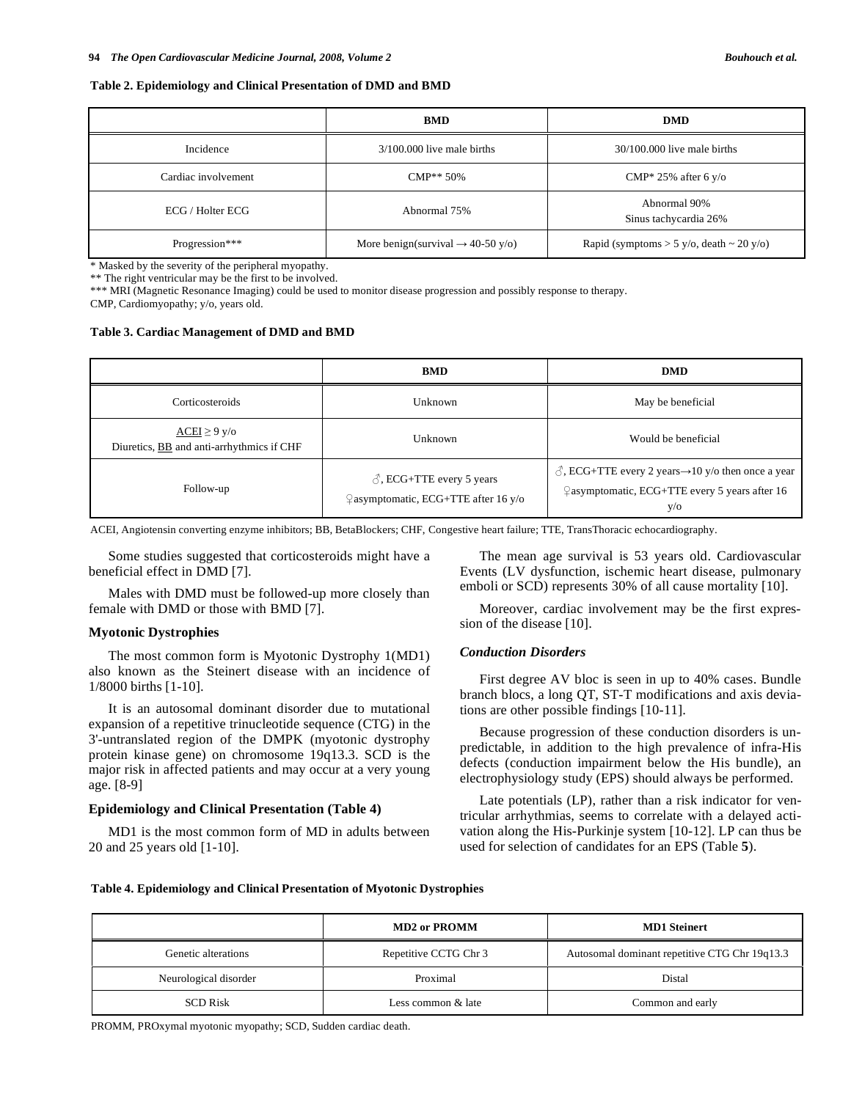#### **Table 2. Epidemiology and Clinical Presentation of DMD and BMD**

|                     | <b>BMD</b>                                    | <b>DMD</b>                                      |
|---------------------|-----------------------------------------------|-------------------------------------------------|
| Incidence           | $3/100.000$ live male births                  | $30/100.000$ live male births                   |
| Cardiac involvement | $\text{CMP}^{**} 50\%$                        | $CMP* 25\%$ after 6 y/o                         |
| ECG / Holter ECG    | Abnormal 75%                                  | Abnormal 90%<br>Sinus tachycardia 26%           |
| Progression***      | More benign(survival $\rightarrow$ 40-50 y/o) | Rapid (symptoms $> 5$ y/o, death $\sim 20$ y/o) |

\* Masked by the severity of the peripheral myopathy.

\*\* The right ventricular may be the first to be involved.

\*\*\* MRI (Magnetic Resonance Imaging) could be used to monitor disease progression and possibly response to therapy.

CMP, Cardiomyopathy; y/o, years old.

#### **Table 3. Cardiac Management of DMD and BMD**

|                                                               | <b>BMD</b>                                                                       | <b>DMD</b>                                                                                                                              |
|---------------------------------------------------------------|----------------------------------------------------------------------------------|-----------------------------------------------------------------------------------------------------------------------------------------|
| Corticosteroids                                               | Unknown                                                                          | May be beneficial                                                                                                                       |
| $ACEI \ge 9$ y/o<br>Diuretics, BB and anti-arrhythmics if CHF | Unknown                                                                          | Would be beneficial                                                                                                                     |
| Follow-up                                                     | $\beta$ , ECG+TTE every 5 years<br>$\sqrt{ }$ asymptomatic, ECG+TTE after 16 y/o | $\beta$ , ECG+TTE every 2 years $\rightarrow$ 10 y/o then once a year<br>$\sqrt{2}$ asymptomatic, ECG+TTE every 5 years after 16<br>V/O |

ACEI, Angiotensin converting enzyme inhibitors; BB, BetaBlockers; CHF, Congestive heart failure; TTE, TransThoracic echocardiography.

Some studies suggested that corticosteroids might have a beneficial effect in DMD [7].

Males with DMD must be followed-up more closely than female with DMD or those with BMD [7].

#### **Myotonic Dystrophies**

The most common form is Myotonic Dystrophy 1(MD1) also known as the Steinert disease with an incidence of 1/8000 births [1-10].

It is an autosomal dominant disorder due to mutational expansion of a repetitive trinucleotide sequence (CTG) in the 3'-untranslated region of the DMPK (myotonic dystrophy protein kinase gene) on chromosome 19q13.3. SCD is the major risk in affected patients and may occur at a very young age. [8-9]

#### **Epidemiology and Clinical Presentation (Table 4)**

MD1 is the most common form of MD in adults between 20 and 25 years old [1-10].

The mean age survival is 53 years old. Cardiovascular Events (LV dysfunction, ischemic heart disease, pulmonary emboli or SCD) represents 30% of all cause mortality [10].

Moreover, cardiac involvement may be the first expression of the disease [10].

#### *Conduction Disorders*

First degree AV bloc is seen in up to 40% cases. Bundle branch blocs, a long QT, ST-T modifications and axis deviations are other possible findings [10-11].

Because progression of these conduction disorders is unpredictable, in addition to the high prevalence of infra-His defects (conduction impairment below the His bundle), an electrophysiology study (EPS) should always be performed.

Late potentials (LP), rather than a risk indicator for ventricular arrhythmias, seems to correlate with a delayed activation along the His-Purkinje system [10-12]. LP can thus be used for selection of candidates for an EPS (Table **5**).

#### **Table 4. Epidemiology and Clinical Presentation of Myotonic Dystrophies**

|                       | <b>MD2</b> or PROMM   | <b>MD1</b> Steinert                           |
|-----------------------|-----------------------|-----------------------------------------------|
| Genetic alterations   | Repetitive CCTG Chr 3 | Autosomal dominant repetitive CTG Chr 19q13.3 |
| Neurological disorder | Proximal              | Distal                                        |
| <b>SCD Risk</b>       | Less common & late    | Common and early                              |

PROMM, PROxymal myotonic myopathy; SCD, Sudden cardiac death.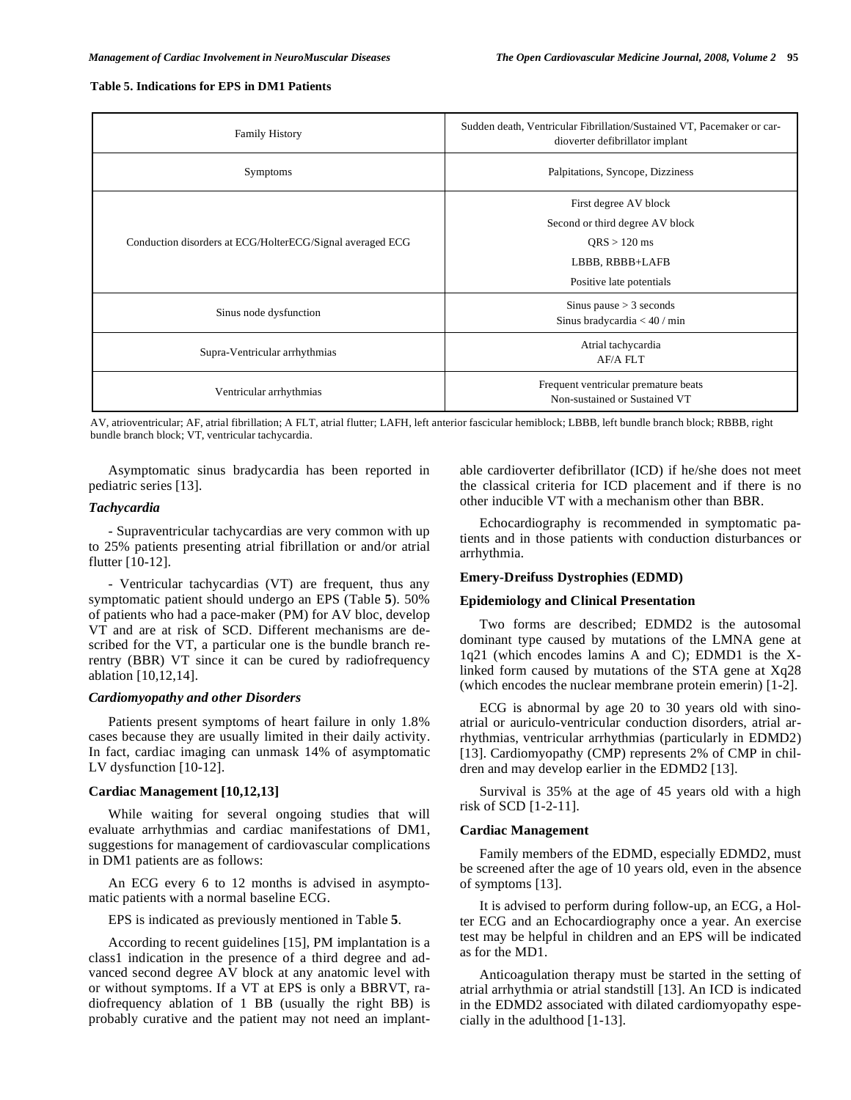#### **Table 5. Indications for EPS in DM1 Patients**

| <b>Family History</b>                                     | Sudden death, Ventricular Fibrillation/Sustained VT, Pacemaker or car-<br>dioverter defibrillator implant |
|-----------------------------------------------------------|-----------------------------------------------------------------------------------------------------------|
| <b>Symptoms</b>                                           | Palpitations, Syncope, Dizziness                                                                          |
|                                                           | First degree AV block                                                                                     |
| Conduction disorders at ECG/HolterECG/Signal averaged ECG | Second or third degree AV block                                                                           |
|                                                           | $ORS > 120$ ms                                                                                            |
|                                                           | LBBB, RBBB+LAFB                                                                                           |
|                                                           | Positive late potentials                                                                                  |
| Sinus node dysfunction                                    | Sinus pause $>$ 3 seconds                                                                                 |
|                                                           | Sinus bradycardia $< 40 / min$                                                                            |
| Supra-Ventricular arrhythmias                             | Atrial tachycardia                                                                                        |
|                                                           | AF/A FLT                                                                                                  |
| Ventricular arrhythmias                                   | Frequent ventricular premature beats<br>Non-sustained or Sustained VT                                     |

AV, atrioventricular; AF, atrial fibrillation; A FLT, atrial flutter; LAFH, left anterior fascicular hemiblock; LBBB, left bundle branch block; RBBB, right bundle branch block; VT, ventricular tachycardia.

Asymptomatic sinus bradycardia has been reported in pediatric series [13].

#### *Tachycardia*

- Supraventricular tachycardias are very common with up to 25% patients presenting atrial fibrillation or and/or atrial flutter [10-12].

- Ventricular tachycardias (VT) are frequent, thus any symptomatic patient should undergo an EPS (Table **5**). 50% of patients who had a pace-maker (PM) for AV bloc, develop VT and are at risk of SCD. Different mechanisms are described for the VT, a particular one is the bundle branch rerentry (BBR) VT since it can be cured by radiofrequency ablation [10,12,14].

#### *Cardiomyopathy and other Disorders*

Patients present symptoms of heart failure in only 1.8% cases because they are usually limited in their daily activity. In fact, cardiac imaging can unmask 14% of asymptomatic LV dysfunction [10-12].

#### **Cardiac Management [10,12,13]**

While waiting for several ongoing studies that will evaluate arrhythmias and cardiac manifestations of DM1, suggestions for management of cardiovascular complications in DM1 patients are as follows:

An ECG every 6 to 12 months is advised in asymptomatic patients with a normal baseline ECG.

EPS is indicated as previously mentioned in Table **5**.

According to recent guidelines [15], PM implantation is a class1 indication in the presence of a third degree and advanced second degree AV block at any anatomic level with or without symptoms. If a VT at EPS is only a BBRVT, radiofrequency ablation of 1 BB (usually the right BB) is probably curative and the patient may not need an implantable cardioverter defibrillator (ICD) if he/she does not meet the classical criteria for ICD placement and if there is no other inducible VT with a mechanism other than BBR.

Echocardiography is recommended in symptomatic patients and in those patients with conduction disturbances or arrhythmia.

#### **Emery-Dreifuss Dystrophies (EDMD)**

#### **Epidemiology and Clinical Presentation**

Two forms are described; EDMD2 is the autosomal dominant type caused by mutations of the LMNA gene at 1q21 (which encodes lamins A and C); EDMD1 is the Xlinked form caused by mutations of the STA gene at Xq28 (which encodes the nuclear membrane protein emerin) [1-2].

ECG is abnormal by age 20 to 30 years old with sinoatrial or auriculo-ventricular conduction disorders, atrial arrhythmias, ventricular arrhythmias (particularly in EDMD2) [13]. Cardiomyopathy (CMP) represents 2% of CMP in children and may develop earlier in the EDMD2 [13].

Survival is 35% at the age of 45 years old with a high risk of SCD [1-2-11].

#### **Cardiac Management**

Family members of the EDMD, especially EDMD2, must be screened after the age of 10 years old, even in the absence of symptoms [13].

It is advised to perform during follow-up, an ECG, a Holter ECG and an Echocardiography once a year. An exercise test may be helpful in children and an EPS will be indicated as for the MD1.

Anticoagulation therapy must be started in the setting of atrial arrhythmia or atrial standstill [13]. An ICD is indicated in the EDMD2 associated with dilated cardiomyopathy especially in the adulthood [1-13].